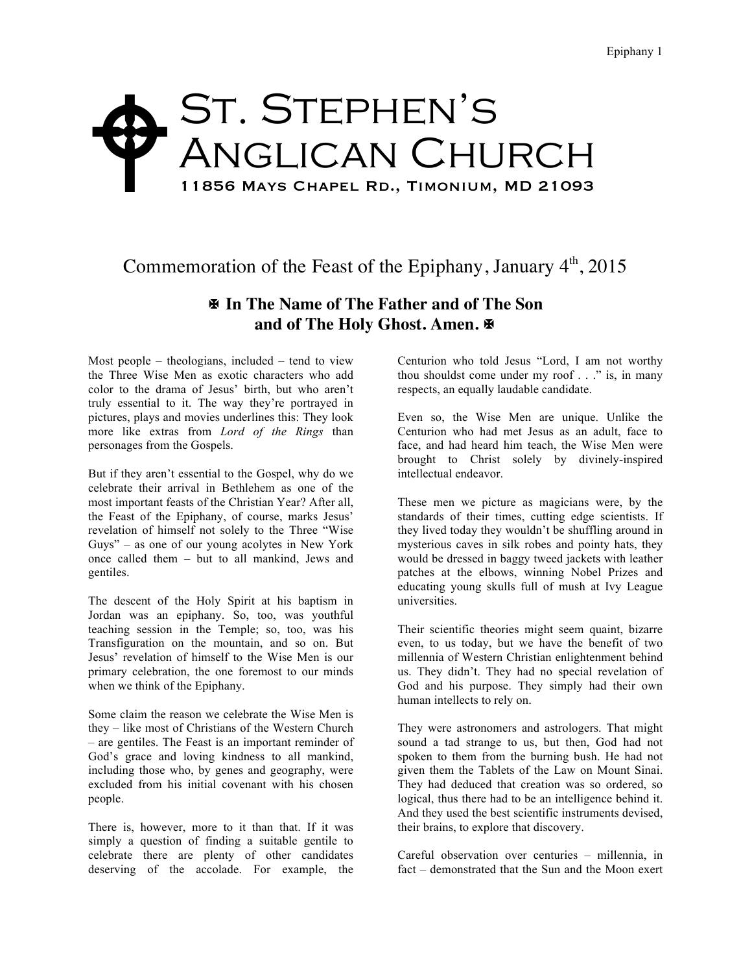## ST. STEPHEN'S Anglican Church 11856 Mays Chapel Rd., Timonium, MD 21093  $\blacklozenge$

## Commemoration of the Feast of the Epiphany, January  $4<sup>th</sup>$ , 2015

## X **In The Name of The Father and of The Son and of The Holy Ghost. Amen.** X

Most people – theologians, included – tend to view the Three Wise Men as exotic characters who add color to the drama of Jesus' birth, but who aren't truly essential to it. The way they're portrayed in pictures, plays and movies underlines this: They look more like extras from *Lord of the Rings* than personages from the Gospels.

But if they aren't essential to the Gospel, why do we celebrate their arrival in Bethlehem as one of the most important feasts of the Christian Year? After all, the Feast of the Epiphany, of course, marks Jesus' revelation of himself not solely to the Three "Wise Guys" – as one of our young acolytes in New York once called them – but to all mankind, Jews and gentiles.

The descent of the Holy Spirit at his baptism in Jordan was an epiphany. So, too, was youthful teaching session in the Temple; so, too, was his Transfiguration on the mountain, and so on. But Jesus' revelation of himself to the Wise Men is our primary celebration, the one foremost to our minds when we think of the Epiphany.

Some claim the reason we celebrate the Wise Men is they – like most of Christians of the Western Church – are gentiles. The Feast is an important reminder of God's grace and loving kindness to all mankind, including those who, by genes and geography, were excluded from his initial covenant with his chosen people.

There is, however, more to it than that. If it was simply a question of finding a suitable gentile to celebrate there are plenty of other candidates deserving of the accolade. For example, the

Centurion who told Jesus "Lord, I am not worthy thou shouldst come under my roof . . ." is, in many respects, an equally laudable candidate.

Even so, the Wise Men are unique. Unlike the Centurion who had met Jesus as an adult, face to face, and had heard him teach, the Wise Men were brought to Christ solely by divinely-inspired intellectual endeavor.

These men we picture as magicians were, by the standards of their times, cutting edge scientists. If they lived today they wouldn't be shuffling around in mysterious caves in silk robes and pointy hats, they would be dressed in baggy tweed jackets with leather patches at the elbows, winning Nobel Prizes and educating young skulls full of mush at Ivy League universities.

Their scientific theories might seem quaint, bizarre even, to us today, but we have the benefit of two millennia of Western Christian enlightenment behind us. They didn't. They had no special revelation of God and his purpose. They simply had their own human intellects to rely on.

They were astronomers and astrologers. That might sound a tad strange to us, but then, God had not spoken to them from the burning bush. He had not given them the Tablets of the Law on Mount Sinai. They had deduced that creation was so ordered, so logical, thus there had to be an intelligence behind it. And they used the best scientific instruments devised, their brains, to explore that discovery.

Careful observation over centuries – millennia, in fact – demonstrated that the Sun and the Moon exert